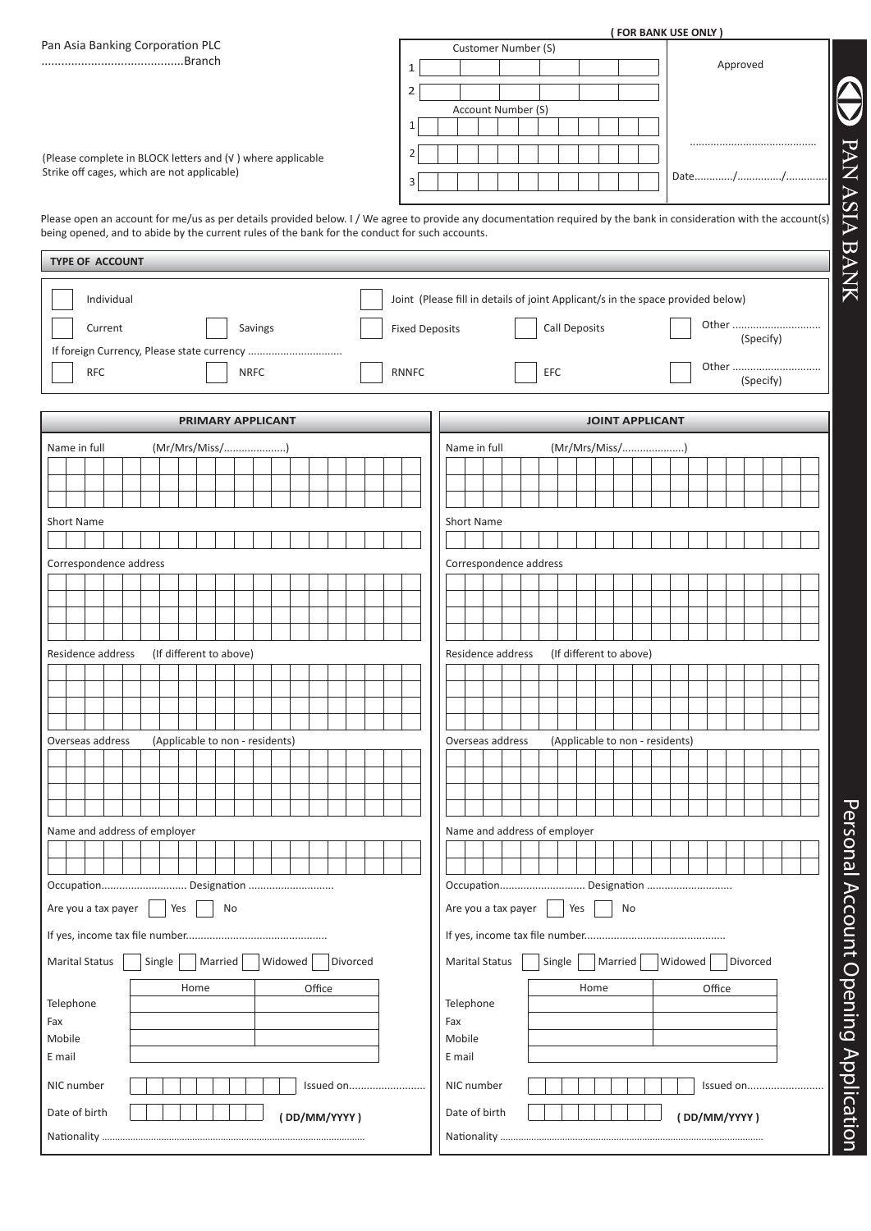|                              |                                                                                                           |                       | ( FOR BANK USE ONLY )                                                                                                                                               |  |  |  |
|------------------------------|-----------------------------------------------------------------------------------------------------------|-----------------------|---------------------------------------------------------------------------------------------------------------------------------------------------------------------|--|--|--|
|                              | Pan Asia Banking Corporation PLC                                                                          |                       | Customer Number (S)<br>Approved                                                                                                                                     |  |  |  |
|                              |                                                                                                           | $\mathbf{1}$          |                                                                                                                                                                     |  |  |  |
|                              |                                                                                                           | $\overline{2}$        |                                                                                                                                                                     |  |  |  |
|                              |                                                                                                           | 1                     | Account Number (S)                                                                                                                                                  |  |  |  |
|                              |                                                                                                           |                       |                                                                                                                                                                     |  |  |  |
|                              | (Please complete in BLOCK letters and (v) where applicable<br>Strike off cages, which are not applicable) |                       |                                                                                                                                                                     |  |  |  |
|                              |                                                                                                           | 3                     |                                                                                                                                                                     |  |  |  |
|                              |                                                                                                           |                       |                                                                                                                                                                     |  |  |  |
|                              | being opened, and to abide by the current rules of the bank for the conduct for such accounts.            |                       | Please open an account for me/us as per details provided below. I / We agree to provide any documentation required by the bank in consideration with the account(s) |  |  |  |
| <b>TYPE OF ACCOUNT</b>       |                                                                                                           |                       |                                                                                                                                                                     |  |  |  |
|                              |                                                                                                           |                       |                                                                                                                                                                     |  |  |  |
| Individual                   |                                                                                                           |                       | Joint (Please fill in details of joint Applicant/s in the space provided below)                                                                                     |  |  |  |
| Current                      | Savings                                                                                                   | <b>Fixed Deposits</b> | Other<br>Call Deposits                                                                                                                                              |  |  |  |
|                              |                                                                                                           |                       | (Specify)                                                                                                                                                           |  |  |  |
| <b>RFC</b>                   | <b>NRFC</b>                                                                                               | <b>RNNFC</b>          | Other<br>EFC                                                                                                                                                        |  |  |  |
|                              |                                                                                                           |                       | (Specify)                                                                                                                                                           |  |  |  |
|                              | PRIMARY APPLICANT                                                                                         |                       | <b>JOINT APPLICANT</b>                                                                                                                                              |  |  |  |
| Name in full                 | (Mr/Mrs/Miss/)                                                                                            |                       | (Mr/Mrs/Miss/)<br>Name in full                                                                                                                                      |  |  |  |
|                              |                                                                                                           |                       |                                                                                                                                                                     |  |  |  |
|                              |                                                                                                           |                       |                                                                                                                                                                     |  |  |  |
|                              |                                                                                                           |                       |                                                                                                                                                                     |  |  |  |
| <b>Short Name</b>            |                                                                                                           |                       | <b>Short Name</b>                                                                                                                                                   |  |  |  |
| Correspondence address       |                                                                                                           |                       | Correspondence address                                                                                                                                              |  |  |  |
|                              |                                                                                                           |                       |                                                                                                                                                                     |  |  |  |
|                              |                                                                                                           |                       |                                                                                                                                                                     |  |  |  |
|                              |                                                                                                           |                       |                                                                                                                                                                     |  |  |  |
| Residence address            | (If different to above)                                                                                   |                       | Residence address<br>(If different to above)                                                                                                                        |  |  |  |
|                              |                                                                                                           |                       |                                                                                                                                                                     |  |  |  |
|                              |                                                                                                           |                       |                                                                                                                                                                     |  |  |  |
|                              |                                                                                                           |                       |                                                                                                                                                                     |  |  |  |
| Overseas address             | (Applicable to non - residents)                                                                           |                       | (Applicable to non - residents)<br>Overseas address                                                                                                                 |  |  |  |
|                              |                                                                                                           |                       |                                                                                                                                                                     |  |  |  |
|                              |                                                                                                           |                       |                                                                                                                                                                     |  |  |  |
|                              |                                                                                                           |                       |                                                                                                                                                                     |  |  |  |
| Name and address of employer |                                                                                                           |                       | Name and address of employer                                                                                                                                        |  |  |  |
|                              |                                                                                                           |                       |                                                                                                                                                                     |  |  |  |
|                              |                                                                                                           |                       |                                                                                                                                                                     |  |  |  |
|                              | Occupation Designation                                                                                    |                       | Occupation Designation                                                                                                                                              |  |  |  |
| Are you a tax payer          | Yes<br>No                                                                                                 |                       | Yes<br>Are you a tax payer<br>No                                                                                                                                    |  |  |  |
|                              |                                                                                                           |                       |                                                                                                                                                                     |  |  |  |
| <b>Marital Status</b>        | Widowed<br>Married<br>Divorced<br>Single                                                                  |                       | Widowed<br><b>Married</b><br>Divorced<br><b>Marital Status</b><br>Single                                                                                            |  |  |  |
|                              | Office<br>Home                                                                                            |                       | Office<br>Home                                                                                                                                                      |  |  |  |
| Telephone                    |                                                                                                           |                       | Telephone                                                                                                                                                           |  |  |  |
| Fax                          |                                                                                                           |                       | Fax                                                                                                                                                                 |  |  |  |
| Mobile<br>E mail             |                                                                                                           |                       | Mobile<br>E mail                                                                                                                                                    |  |  |  |
|                              |                                                                                                           |                       |                                                                                                                                                                     |  |  |  |
| NIC number                   |                                                                                                           | Issued on             | NIC number<br>Issued on                                                                                                                                             |  |  |  |
| Date of birth                | (DD/MM/YYYY)                                                                                              |                       | Date of birth<br>(DD/MM/YYYY)                                                                                                                                       |  |  |  |
|                              |                                                                                                           |                       |                                                                                                                                                                     |  |  |  |

Personal Account Opening Application Personal Account Opening Application

**SEPTAN ASIA BANK**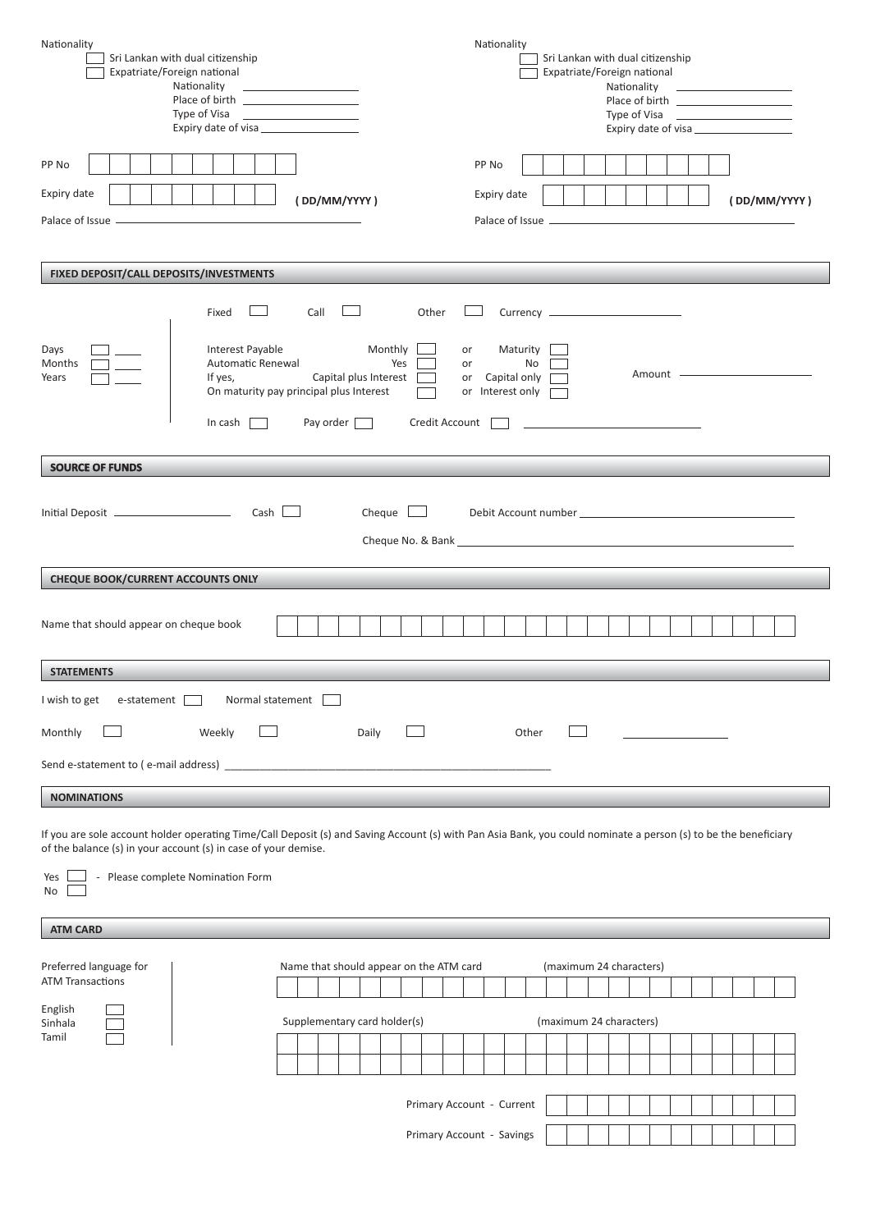| Nationality                                                                                                                                                     |                                                                                              | Nationality                                                                                                                                                                                                                          |                                                             |                                |  |  |                       |              |  |
|-----------------------------------------------------------------------------------------------------------------------------------------------------------------|----------------------------------------------------------------------------------------------|--------------------------------------------------------------------------------------------------------------------------------------------------------------------------------------------------------------------------------------|-------------------------------------------------------------|--------------------------------|--|--|-----------------------|--------------|--|
| Sri Lankan with dual citizenship                                                                                                                                |                                                                                              |                                                                                                                                                                                                                                      | Sri Lankan with dual citizenship                            |                                |  |  |                       |              |  |
| Expatriate/Foreign national                                                                                                                                     |                                                                                              |                                                                                                                                                                                                                                      | Expatriate/Foreign national                                 |                                |  |  |                       |              |  |
| Nationality                                                                                                                                                     | <u> 1989 - Andrea Station Barbara, amerikan per</u><br>Place of birth ______________________ |                                                                                                                                                                                                                                      |                                                             | Nationality 2008               |  |  |                       |              |  |
| Type of Visa                                                                                                                                                    | the control of the control of the control of                                                 |                                                                                                                                                                                                                                      |                                                             | Type of Visa <b>Example 20</b> |  |  |                       |              |  |
|                                                                                                                                                                 | Expiry date of visa                                                                          |                                                                                                                                                                                                                                      |                                                             |                                |  |  | Expiry date of visa   |              |  |
|                                                                                                                                                                 |                                                                                              |                                                                                                                                                                                                                                      |                                                             |                                |  |  |                       |              |  |
| PP No                                                                                                                                                           |                                                                                              | PP No                                                                                                                                                                                                                                |                                                             |                                |  |  |                       |              |  |
|                                                                                                                                                                 |                                                                                              |                                                                                                                                                                                                                                      |                                                             |                                |  |  |                       |              |  |
| Expiry date                                                                                                                                                     | (DD/MM/YYYY)                                                                                 | Expiry date                                                                                                                                                                                                                          |                                                             |                                |  |  |                       | (DD/MM/YYYY) |  |
| Palace of Issue -                                                                                                                                               |                                                                                              | Palace of Issue <u>- Sandan and Carlier and Carlier and Carlier and Carlier and Carlier and Carlier and Carlier and Carlier and Carlier and Carlier and Carlier and Carlier and Carlier and Carlier and Carlier and Carlier and </u> |                                                             |                                |  |  |                       |              |  |
|                                                                                                                                                                 |                                                                                              |                                                                                                                                                                                                                                      |                                                             |                                |  |  |                       |              |  |
|                                                                                                                                                                 |                                                                                              |                                                                                                                                                                                                                                      |                                                             |                                |  |  |                       |              |  |
| FIXED DEPOSIT/CALL DEPOSITS/INVESTMENTS                                                                                                                         |                                                                                              |                                                                                                                                                                                                                                      |                                                             |                                |  |  |                       |              |  |
|                                                                                                                                                                 |                                                                                              |                                                                                                                                                                                                                                      |                                                             |                                |  |  |                       |              |  |
| Fixed                                                                                                                                                           | Call                                                                                         | Other                                                                                                                                                                                                                                |                                                             |                                |  |  |                       |              |  |
|                                                                                                                                                                 |                                                                                              |                                                                                                                                                                                                                                      |                                                             |                                |  |  |                       |              |  |
| Interest Payable<br>Days                                                                                                                                        | Monthly                                                                                      | Maturity<br>or                                                                                                                                                                                                                       |                                                             |                                |  |  |                       |              |  |
| Months                                                                                                                                                          | Automatic Renewal<br>Yes                                                                     | No<br>or                                                                                                                                                                                                                             |                                                             |                                |  |  |                       |              |  |
| If yes,<br>Years                                                                                                                                                | Capital plus Interest                                                                        | or Capital only [                                                                                                                                                                                                                    |                                                             |                                |  |  | Amount <u>example</u> |              |  |
|                                                                                                                                                                 | On maturity pay principal plus Interest                                                      | or Interest only [<br>$\mathcal{L}(\mathcal{A})$                                                                                                                                                                                     |                                                             |                                |  |  |                       |              |  |
| In cash $\vert$                                                                                                                                                 | Pay order [13]                                                                               | Credit Account                                                                                                                                                                                                                       | the control of the control of the control of the control of |                                |  |  |                       |              |  |
|                                                                                                                                                                 |                                                                                              |                                                                                                                                                                                                                                      |                                                             |                                |  |  |                       |              |  |
|                                                                                                                                                                 |                                                                                              |                                                                                                                                                                                                                                      |                                                             |                                |  |  |                       |              |  |
| <b>SOURCE OF FUNDS</b>                                                                                                                                          |                                                                                              |                                                                                                                                                                                                                                      |                                                             |                                |  |  |                       |              |  |
|                                                                                                                                                                 |                                                                                              |                                                                                                                                                                                                                                      |                                                             |                                |  |  |                       |              |  |
|                                                                                                                                                                 | $Cash \Box$<br>Cheque $\Box$                                                                 |                                                                                                                                                                                                                                      |                                                             |                                |  |  |                       |              |  |
|                                                                                                                                                                 |                                                                                              |                                                                                                                                                                                                                                      |                                                             |                                |  |  |                       |              |  |
|                                                                                                                                                                 |                                                                                              |                                                                                                                                                                                                                                      |                                                             |                                |  |  |                       |              |  |
|                                                                                                                                                                 |                                                                                              |                                                                                                                                                                                                                                      |                                                             |                                |  |  |                       |              |  |
| <b>CHEQUE BOOK/CURRENT ACCOUNTS ONLY</b>                                                                                                                        |                                                                                              |                                                                                                                                                                                                                                      |                                                             |                                |  |  |                       |              |  |
|                                                                                                                                                                 |                                                                                              |                                                                                                                                                                                                                                      |                                                             |                                |  |  |                       |              |  |
| Name that should appear on cheque book                                                                                                                          |                                                                                              |                                                                                                                                                                                                                                      |                                                             |                                |  |  |                       |              |  |
|                                                                                                                                                                 |                                                                                              |                                                                                                                                                                                                                                      |                                                             |                                |  |  |                       |              |  |
|                                                                                                                                                                 |                                                                                              |                                                                                                                                                                                                                                      |                                                             |                                |  |  |                       |              |  |
| <b>STATEMENTS</b>                                                                                                                                               |                                                                                              |                                                                                                                                                                                                                                      |                                                             |                                |  |  |                       |              |  |
| I wish to get<br>e-statement                                                                                                                                    | Normal statement                                                                             |                                                                                                                                                                                                                                      |                                                             |                                |  |  |                       |              |  |
|                                                                                                                                                                 |                                                                                              |                                                                                                                                                                                                                                      |                                                             |                                |  |  |                       |              |  |
| Monthly<br>Weekly                                                                                                                                               | Daily                                                                                        | Other                                                                                                                                                                                                                                |                                                             |                                |  |  |                       |              |  |
|                                                                                                                                                                 |                                                                                              |                                                                                                                                                                                                                                      |                                                             |                                |  |  |                       |              |  |
|                                                                                                                                                                 |                                                                                              |                                                                                                                                                                                                                                      |                                                             |                                |  |  |                       |              |  |
|                                                                                                                                                                 |                                                                                              |                                                                                                                                                                                                                                      |                                                             |                                |  |  |                       |              |  |
| <b>NOMINATIONS</b>                                                                                                                                              |                                                                                              |                                                                                                                                                                                                                                      |                                                             |                                |  |  |                       |              |  |
|                                                                                                                                                                 |                                                                                              |                                                                                                                                                                                                                                      |                                                             |                                |  |  |                       |              |  |
| If you are sole account holder operating Time/Call Deposit (s) and Saving Account (s) with Pan Asia Bank, you could nominate a person (s) to be the beneficiary |                                                                                              |                                                                                                                                                                                                                                      |                                                             |                                |  |  |                       |              |  |
| of the balance (s) in your account (s) in case of your demise.                                                                                                  |                                                                                              |                                                                                                                                                                                                                                      |                                                             |                                |  |  |                       |              |  |
| - Please complete Nomination Form<br>Yes                                                                                                                        |                                                                                              |                                                                                                                                                                                                                                      |                                                             |                                |  |  |                       |              |  |
| No                                                                                                                                                              |                                                                                              |                                                                                                                                                                                                                                      |                                                             |                                |  |  |                       |              |  |
|                                                                                                                                                                 |                                                                                              |                                                                                                                                                                                                                                      |                                                             |                                |  |  |                       |              |  |
| <b>ATM CARD</b>                                                                                                                                                 |                                                                                              |                                                                                                                                                                                                                                      |                                                             |                                |  |  |                       |              |  |
|                                                                                                                                                                 |                                                                                              |                                                                                                                                                                                                                                      |                                                             |                                |  |  |                       |              |  |
| Preferred language for                                                                                                                                          | Name that should appear on the ATM card                                                      |                                                                                                                                                                                                                                      | (maximum 24 characters)                                     |                                |  |  |                       |              |  |
| <b>ATM Transactions</b>                                                                                                                                         |                                                                                              |                                                                                                                                                                                                                                      |                                                             |                                |  |  |                       |              |  |
|                                                                                                                                                                 |                                                                                              |                                                                                                                                                                                                                                      |                                                             |                                |  |  |                       |              |  |
| English<br>Sinhala                                                                                                                                              | Supplementary card holder(s)                                                                 |                                                                                                                                                                                                                                      | (maximum 24 characters)                                     |                                |  |  |                       |              |  |
| Tamil                                                                                                                                                           |                                                                                              |                                                                                                                                                                                                                                      |                                                             |                                |  |  |                       |              |  |
|                                                                                                                                                                 |                                                                                              |                                                                                                                                                                                                                                      |                                                             |                                |  |  |                       |              |  |
|                                                                                                                                                                 |                                                                                              |                                                                                                                                                                                                                                      |                                                             |                                |  |  |                       |              |  |
|                                                                                                                                                                 |                                                                                              |                                                                                                                                                                                                                                      |                                                             |                                |  |  |                       |              |  |
|                                                                                                                                                                 |                                                                                              | Primary Account - Current                                                                                                                                                                                                            |                                                             |                                |  |  |                       |              |  |
|                                                                                                                                                                 |                                                                                              |                                                                                                                                                                                                                                      |                                                             |                                |  |  |                       |              |  |
|                                                                                                                                                                 |                                                                                              | Primary Account - Savings                                                                                                                                                                                                            |                                                             |                                |  |  |                       |              |  |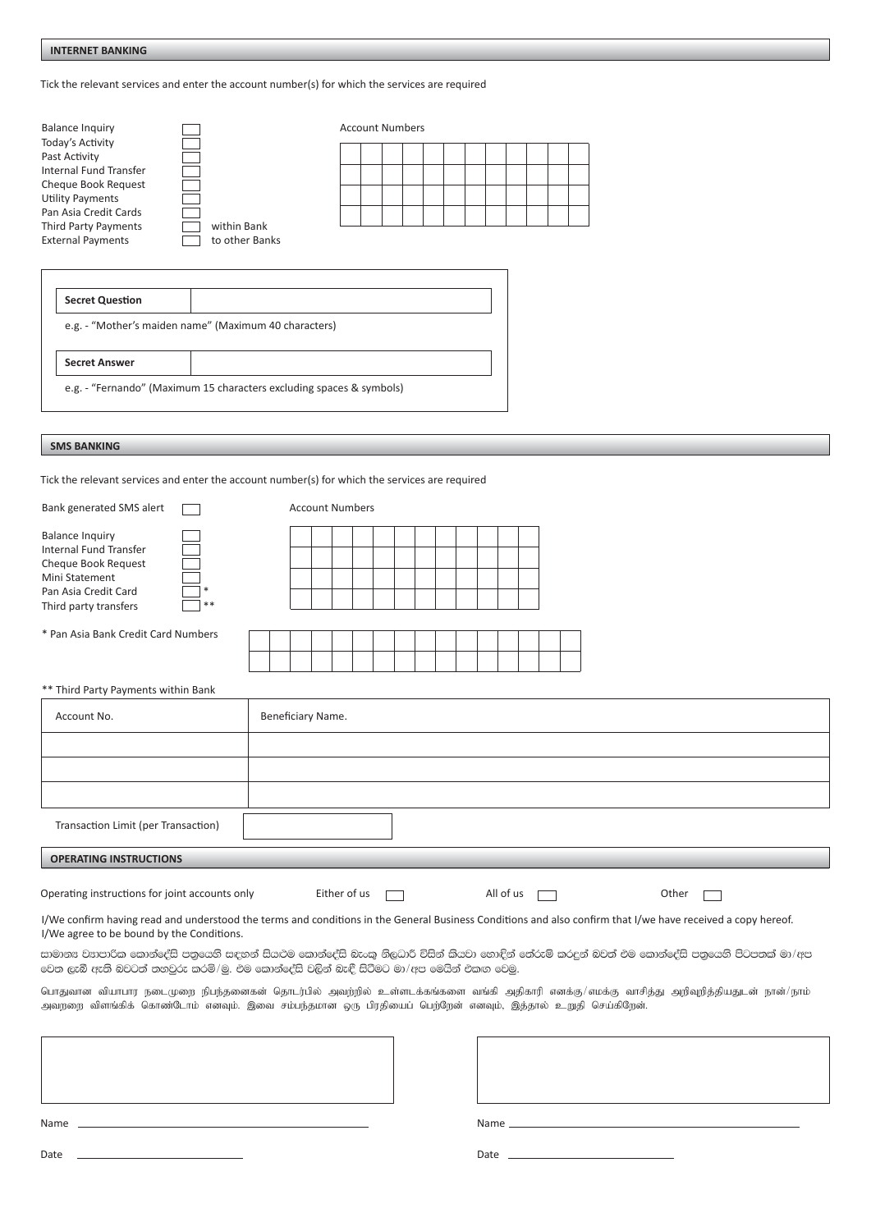**INTERNET BANKING** 

Tick the relevant services and enter the account number(s) for which the services are required

| <b>Balance Inquiry</b><br>Today's Activity<br>Past Activity<br>Internal Fund Transfer<br>Cheque Book Request<br><b>Utility Payments</b><br>Pan Asia Credit Cards |                                                       | <b>Account Numbers</b> |  |  |  |  |  |  |  |  |  |  |
|------------------------------------------------------------------------------------------------------------------------------------------------------------------|-------------------------------------------------------|------------------------|--|--|--|--|--|--|--|--|--|--|
| <b>Third Party Payments</b>                                                                                                                                      | within Bank                                           |                        |  |  |  |  |  |  |  |  |  |  |
| <b>External Payments</b>                                                                                                                                         | to other Banks                                        |                        |  |  |  |  |  |  |  |  |  |  |
| <b>Secret Question</b>                                                                                                                                           |                                                       |                        |  |  |  |  |  |  |  |  |  |  |
|                                                                                                                                                                  | e.g. - "Mother's maiden name" (Maximum 40 characters) |                        |  |  |  |  |  |  |  |  |  |  |

**Secret Answer** 

e.g. - "Fernando" (Maximum 15 characters excluding spaces & symbols)

## **SMS BANKING**

Tick the relevant services and enter the account number(s) for which the services are required

| Bank generated SMS alert                                                                                                                            | <b>Account Numbers</b>             |  |  |  |  |  |
|-----------------------------------------------------------------------------------------------------------------------------------------------------|------------------------------------|--|--|--|--|--|
| <b>Balance Inquiry</b><br>Internal Fund Transfer<br>Cheque Book Request<br>Mini Statement<br>Pan Asia Credit Card<br>$***$<br>Third party transfers |                                    |  |  |  |  |  |
| * Pan Asia Bank Credit Card Numbers                                                                                                                 |                                    |  |  |  |  |  |
|                                                                                                                                                     |                                    |  |  |  |  |  |
| ** Third Party Payments within Bank                                                                                                                 |                                    |  |  |  |  |  |
| Account No.                                                                                                                                         | Beneficiary Name.                  |  |  |  |  |  |
|                                                                                                                                                     |                                    |  |  |  |  |  |
|                                                                                                                                                     |                                    |  |  |  |  |  |
|                                                                                                                                                     |                                    |  |  |  |  |  |
| Transaction Limit (per Transaction)                                                                                                                 |                                    |  |  |  |  |  |
| <b>OPERATING INSTRUCTIONS</b>                                                                                                                       |                                    |  |  |  |  |  |
| Operating instructions for joint accounts only                                                                                                      | Either of us<br>All of us<br>Other |  |  |  |  |  |

I/We confirm having read and understood the terms and conditions in the General Business Conditions and also confirm that I/we have received a copy hereof. I/We agree to be bound by the Conditions.

සාමානඃ වඃාපාරික කොන්දේසි පතුයෙනි සඳහන් සියළුම කොන්දේසි බැංකු නිලධාරි විසින් කියවා නොඳින් තේරුම් කරදුන් බවත් එම කොන්දේසි පතුයෙනි පිටපතක් මා/අප වෙත ලැබී ඇති බවටත් තනවුරු කරමි/මු. එම කොන්දේසි වලින් බැඳී සිටීමට මා/අප මෙයින් එකඟ වෙමු.

பொதுவான வியாபார நடைமுறை நிபந்தனைகன் தொடர்பில் அவற்றில் உள்ளடக்கங்களை வங்கி அதிகாரி எனக்கு/எமக்கு வாசித்து அறிவுறித்தியதுடன் நான்/நாம் .<br>அவற்றை விளங்கிக் கொண்டோம் எனவும். இவை சம்பந்தமான ஒரு பிரதியைப் பெற்றேன் எனவும், இத்தால் உறுதி செய்கிறேன்.

| Name |                                                                                                                                                                                                                                |
|------|--------------------------------------------------------------------------------------------------------------------------------------------------------------------------------------------------------------------------------|
| Date | Date and the contract of the contract of the contract of the contract of the contract of the contract of the contract of the contract of the contract of the contract of the contract of the contract of the contract of the c |